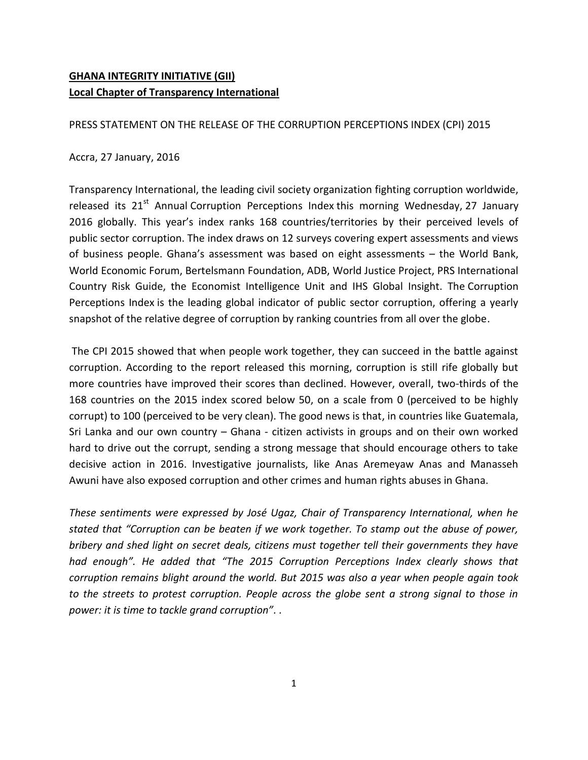# **GHANA INTEGRITY INITIATIVE (GII) Local Chapter of Transparency International**

PRESS STATEMENT ON THE RELEASE OF THE CORRUPTION PERCEPTIONS INDEX (CPI) 2015

## Accra, 27 January, 2016

Transparency International, the leading civil society organization fighting corruption worldwide, released its 21<sup>st</sup> Annual Corruption Perceptions Index this morning Wednesday, 27 January 2016 globally. This year's index ranks 168 countries/territories by their perceived levels of public sector corruption. The index draws on 12 surveys covering expert assessments and views of business people. Ghana's assessment was based on eight assessments – the World Bank, World Economic Forum, Bertelsmann Foundation, ADB, World Justice Project, PRS International Country Risk Guide, the Economist Intelligence Unit and IHS Global Insight. The Corruption Perceptions Index is the leading global indicator of public sector corruption, offering a yearly snapshot of the relative degree of corruption by ranking countries from all over the globe.

The CPI 2015 showed that when people work together, they can succeed in the battle against corruption. According to the report released this morning, corruption is still rife globally but more countries have improved their scores than declined. However, overall, two-thirds of the 168 countries on the 2015 index scored below 50, on a scale from 0 (perceived to be highly corrupt) to 100 (perceived to be very clean). The good news is that, in countries like Guatemala, Sri Lanka and our own country – Ghana - citizen activists in groups and on their own worked hard to drive out the corrupt, sending a strong message that should encourage others to take decisive action in 2016. Investigative journalists, like Anas Aremeyaw Anas and Manasseh Awuni have also exposed corruption and other crimes and human rights abuses in Ghana.

*These sentiments were expressed by José Ugaz, Chair of Transparency International, when he stated that "Corruption can be beaten if we work together. To stamp out the abuse of power, bribery and shed light on secret deals, citizens must together tell their governments they have had enough". He added that "The 2015 Corruption Perceptions Index clearly shows that corruption remains blight around the world. But 2015 was also a year when people again took to the streets to protest corruption. People across the globe sent a strong signal to those in power: it is time to tackle grand corruption". .*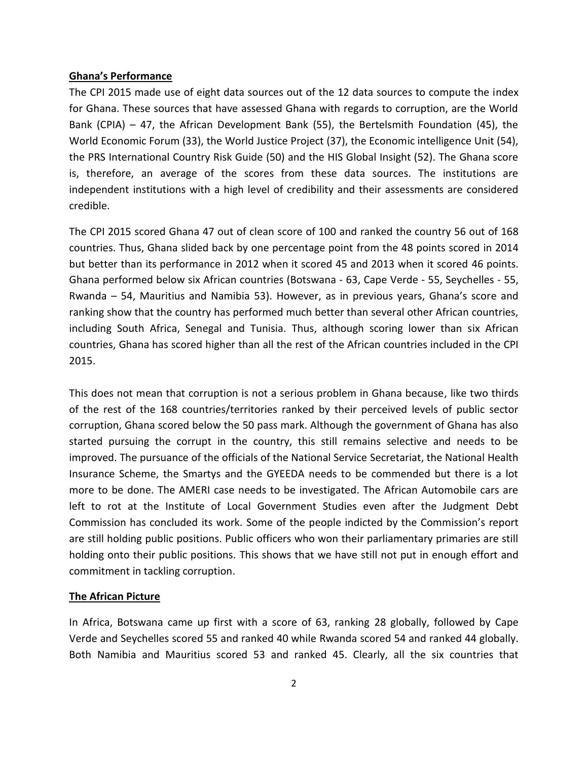#### **Ghana's Performance**

The CPI 2015 made use of eight data sources out of the 12 data sources to compute the index for Ghana. These sources that have assessed Ghana with regards to corruption, are the World Bank (CPIA) – 47, the African Development Bank (55), the Bertelsmith Foundation (45), the World Economic Forum (33), the World Justice Project (37), the Economic intelligence Unit (54), the PRS International Country Risk Guide (50) and the HIS Global Insight (52). The Ghana score is, therefore, an average of the scores from these data sources. The institutions are independent institutions with a high level of credibility and their assessments are considered credible.

The CPI 2015 scored Ghana 47 out of clean score of 100 and ranked the country 56 out of 168 countries. Thus, Ghana slided back by one percentage point from the 48 points scored in 2014 but better than its performance in 2012 when it scored 45 and 2013 when it scored 46 points. Ghana performed below six African countries (Botswana - 63, Cape Verde - 55, Seychelles - 55, Rwanda – 54, Mauritius and Namibia 53). However, as in previous years, Ghana's score and ranking show that the country has performed much better than several other African countries, including South Africa, Senegal and Tunisia. Thus, although scoring lower than six African countries, Ghana has scored higher than all the rest of the African countries included in the CPI 2015.

This does not mean that corruption is not a serious problem in Ghana because, like two thirds of the rest of the 168 countries/territories ranked by their perceived levels of public sector corruption, Ghana scored below the 50 pass mark. Although the government of Ghana has also started pursuing the corrupt in the country, this still remains selective and needs to be improved. The pursuance of the officials of the National Service Secretariat, the National Health Insurance Scheme, the Smartys and the GYEEDA needs to be commended but there is a lot more to be done. The AMERI case needs to be investigated. The African Automobile cars are left to rot at the Institute of Local Government Studies even after the Judgment Debt Commission has concluded its work. Some of the people indicted by the Commission's report are still holding public positions. Public officers who won their parliamentary primaries are still holding onto their public positions. This shows that we have still not put in enough effort and commitment in tackling corruption.

### **The African Picture**

In Africa, Botswana came up first with a score of 63, ranking 28 globally, followed by Cape Verde and Seychelles scored 55 and ranked 40 while Rwanda scored 54 and ranked 44 globally. Both Namibia and Mauritius scored 53 and ranked 45. Clearly, all the six countries that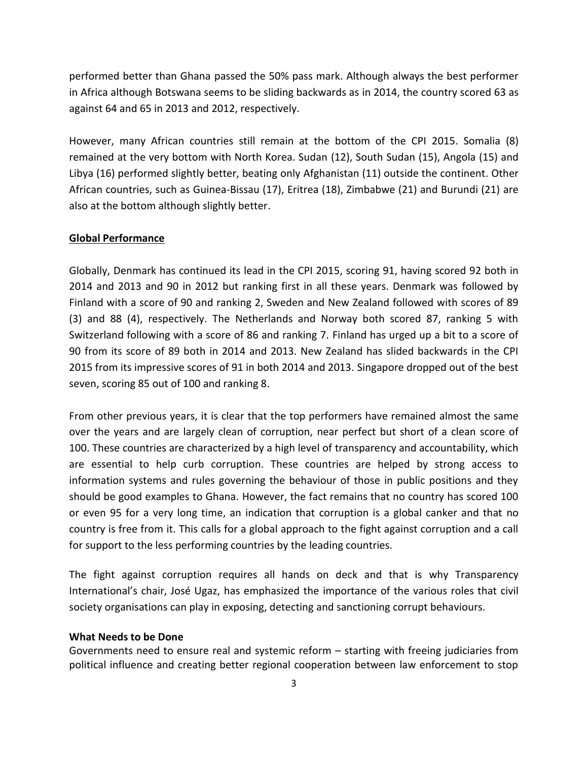performed better than Ghana passed the 50% pass mark. Although always the best performer in Africa although Botswana seems to be sliding backwards as in 2014, the country scored 63 as against 64 and 65 in 2013 and 2012, respectively.

However, many African countries still remain at the bottom of the CPI 2015. Somalia (8) remained at the very bottom with North Korea. Sudan (12), South Sudan (15), Angola (15) and Libya (16) performed slightly better, beating only Afghanistan (11) outside the continent. Other African countries, such as Guinea-Bissau (17), Eritrea (18), Zimbabwe (21) and Burundi (21) are also at the bottom although slightly better.

#### **Global Performance**

Globally, Denmark has continued its lead in the CPI 2015, scoring 91, having scored 92 both in 2014 and 2013 and 90 in 2012 but ranking first in all these years. Denmark was followed by Finland with a score of 90 and ranking 2, Sweden and New Zealand followed with scores of 89 (3) and 88 (4), respectively. The Netherlands and Norway both scored 87, ranking 5 with Switzerland following with a score of 86 and ranking 7. Finland has urged up a bit to a score of 90 from its score of 89 both in 2014 and 2013. New Zealand has slided backwards in the CPI 2015 from its impressive scores of 91 in both 2014 and 2013. Singapore dropped out of the best seven, scoring 85 out of 100 and ranking 8.

From other previous years, it is clear that the top performers have remained almost the same over the years and are largely clean of corruption, near perfect but short of a clean score of 100. These countries are characterized by a high level of transparency and accountability, which are essential to help curb corruption. These countries are helped by strong access to information systems and rules governing the behaviour of those in public positions and they should be good examples to Ghana. However, the fact remains that no country has scored 100 or even 95 for a very long time, an indication that corruption is a global canker and that no country is free from it. This calls for a global approach to the fight against corruption and a call for support to the less performing countries by the leading countries.

The fight against corruption requires all hands on deck and that is why Transparency International's chair, José Ugaz, has emphasized the importance of the various roles that civil society organisations can play in exposing, detecting and sanctioning corrupt behaviours.

#### **What Needs to be Done**

Governments need to ensure real and systemic reform – starting with freeing judiciaries from political influence and creating better regional cooperation between law enforcement to stop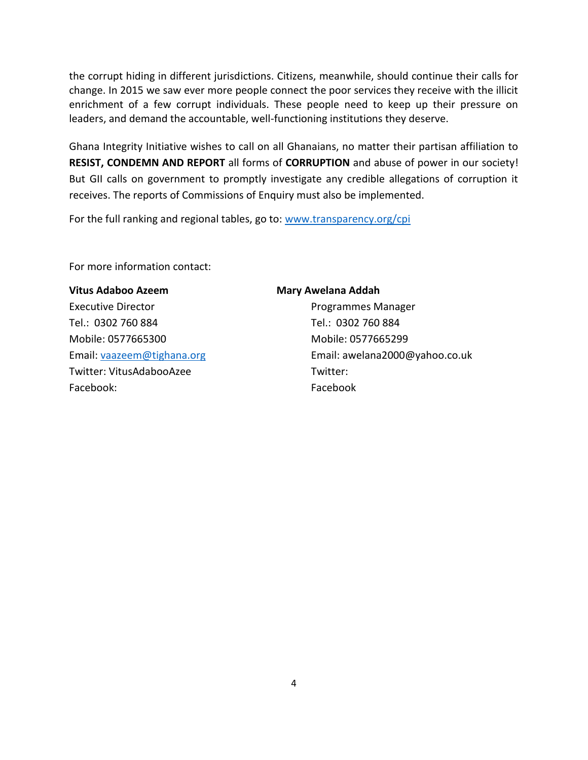the corrupt hiding in different jurisdictions. Citizens, meanwhile, should continue their calls for change. In 2015 we saw ever more people connect the poor services they receive with the illicit enrichment of a few corrupt individuals. These people need to keep up their pressure on leaders, and demand the accountable, well-functioning institutions they deserve.

Ghana Integrity Initiative wishes to call on all Ghanaians, no matter their partisan affiliation to **RESIST, CONDEMN AND REPORT** all forms of **CORRUPTION** and abuse of power in our society! But GII calls on government to promptly investigate any credible allegations of corruption it receives. The reports of Commissions of Enquiry must also be implemented.

For the full ranking and regional tables, go to: [www.transparency.org/cpi](http://www.transparency.org/cpi)

For more information contact:

#### Vitus Adaboo Azeem **Mary Awelana Addah**

Executive Director **Programmes Manager** Tel.: 0302 760 884 Tel.: 0302 760 884 Mobile: 0577665300 Mobile: 0577665299 Twitter: VitusAdabooAzee Twitter: Facebook: Facebook

Email: [vaazeem@tighana.org](mailto:vaazeem@tighana.org) Email: awelana2000@yahoo.co.uk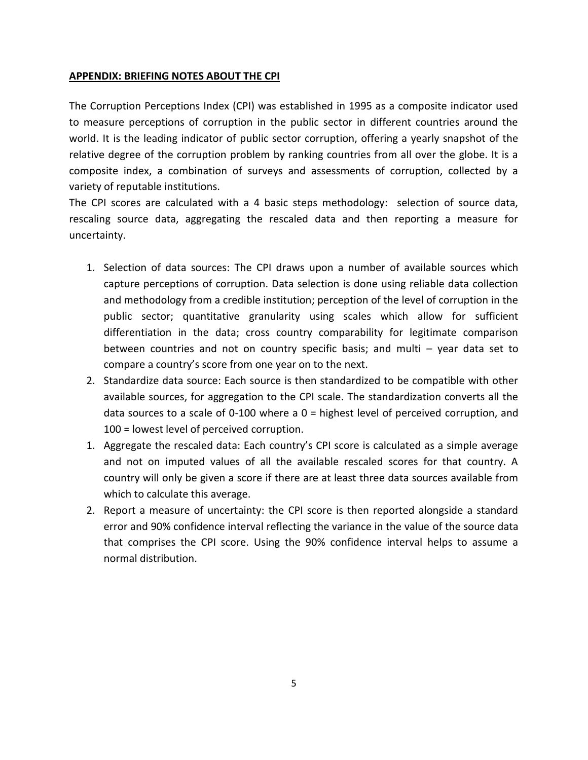## **APPENDIX: BRIEFING NOTES ABOUT THE CPI**

The Corruption Perceptions Index (CPI) was established in 1995 as a composite indicator used to measure perceptions of corruption in the public sector in different countries around the world. It is the leading indicator of public sector corruption, offering a yearly snapshot of the relative degree of the corruption problem by ranking countries from all over the globe. It is a composite index, a combination of surveys and assessments of corruption, collected by a variety of reputable institutions.

The CPI scores are calculated with a 4 basic steps methodology: selection of source data, rescaling source data, aggregating the rescaled data and then reporting a measure for uncertainty.

- 1. Selection of data sources: The CPI draws upon a number of available sources which capture perceptions of corruption. Data selection is done using reliable data collection and methodology from a credible institution; perception of the level of corruption in the public sector; quantitative granularity using scales which allow for sufficient differentiation in the data; cross country comparability for legitimate comparison between countries and not on country specific basis; and multi – year data set to compare a country's score from one year on to the next.
- 2. Standardize data source: Each source is then standardized to be compatible with other available sources, for aggregation to the CPI scale. The standardization converts all the data sources to a scale of 0-100 where a  $0 =$  highest level of perceived corruption, and 100 = lowest level of perceived corruption.
- 1. Aggregate the rescaled data: Each country's CPI score is calculated as a simple average and not on imputed values of all the available rescaled scores for that country. A country will only be given a score if there are at least three data sources available from which to calculate this average.
- 2. Report a measure of uncertainty: the CPI score is then reported alongside a standard error and 90% confidence interval reflecting the variance in the value of the source data that comprises the CPI score. Using the 90% confidence interval helps to assume a normal distribution.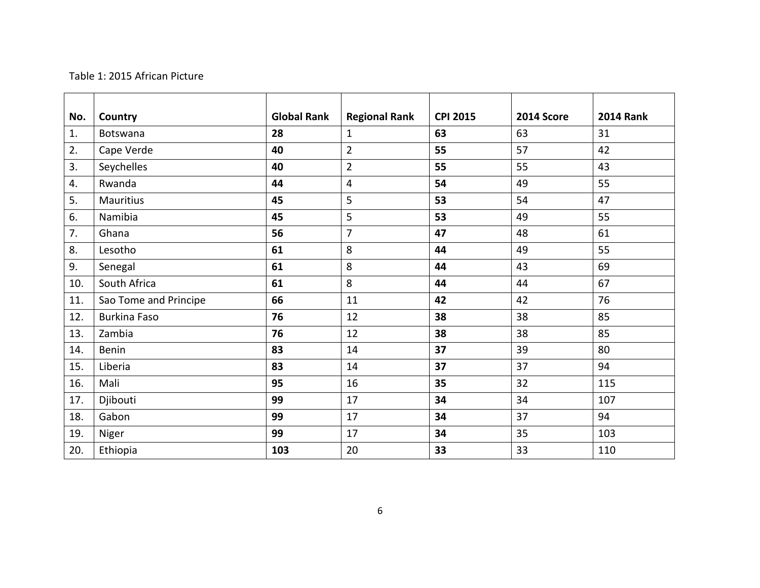# Table 1: 2015 African Picture

| No. | Country               | <b>Global Rank</b> | <b>Regional Rank</b> | <b>CPI 2015</b> | <b>2014 Score</b> | <b>2014 Rank</b> |  |
|-----|-----------------------|--------------------|----------------------|-----------------|-------------------|------------------|--|
| 1.  | <b>Botswana</b>       | 28                 | $\mathbf{1}$         | 63              | 63                | 31               |  |
| 2.  | Cape Verde            | 40                 | $\overline{2}$       | 55              | 57                | 42               |  |
| 3.  | Seychelles            | 40                 | $\overline{2}$       | 55              | 55                | 43               |  |
| 4.  | Rwanda                | 44                 | 4                    | 54              | 49                | 55               |  |
| 5.  | <b>Mauritius</b>      | 45                 | 5                    | 53              | 54                | 47               |  |
| 6.  | Namibia               | 45                 | 5                    | 53              | 49                | 55               |  |
| 7.  | Ghana                 | 56                 | 7                    | 47              | 48                | 61               |  |
| 8.  | Lesotho               | 61                 | 8                    | 44              | 49                | 55               |  |
| 9.  | Senegal               | 61                 | 8                    | 44              | 43                | 69               |  |
| 10. | South Africa          | 61                 | 8                    | 44              | 44                | 67               |  |
| 11. | Sao Tome and Principe | 66                 | 11                   | 42              | 42                | 76               |  |
| 12. | <b>Burkina Faso</b>   | 76                 | 12                   | 38              | 38                | 85               |  |
| 13. | Zambia                | 76                 | 12                   | 38              | 38                | 85               |  |
| 14. | <b>Benin</b>          | 83                 | 14                   | 37              | 39                | 80               |  |
| 15. | Liberia               | 83                 | 14                   | 37              | 37                | 94               |  |
| 16. | Mali                  | 95                 | 16                   | 35              | 32                | 115              |  |
| 17. | Djibouti              | 99                 | 17                   | 34              | 34                | 107              |  |
| 18. | Gabon                 | 99                 | 17                   | 34              | 37                | 94               |  |
| 19. | Niger                 | 99                 | 17                   | 34              | 35                | 103              |  |
| 20. | Ethiopia              | 103                | 20                   | 33              | 33                | 110              |  |